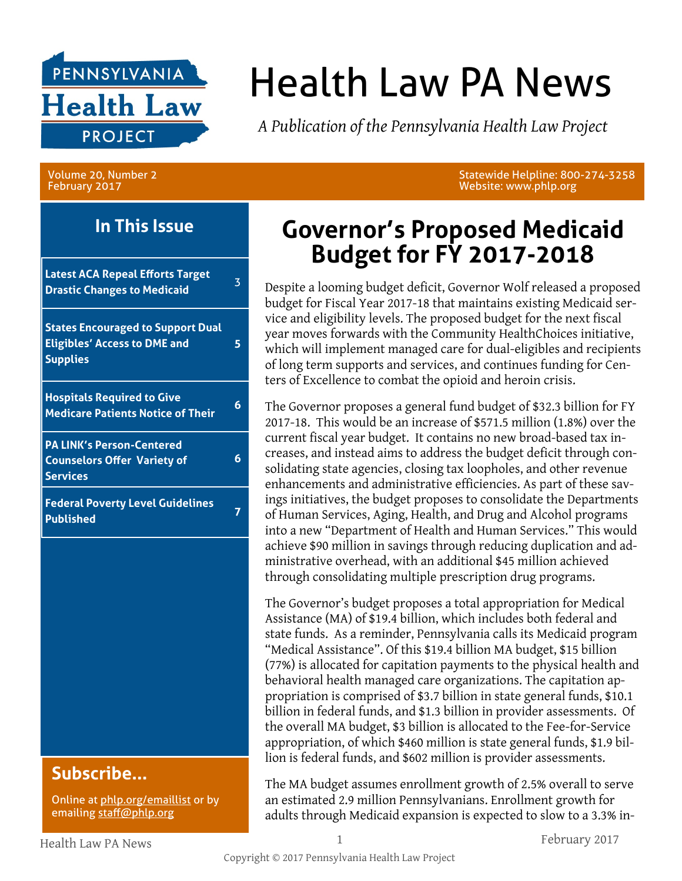

# Health Law PA News

*A Publication of the Pennsylvania Health Law Project*

Volume 20, Number 2 February 2017

Website: www.phlp.org

### **In This Issue**

**Latest ACA Repeal Efforts Target Drastic Changes to Medicaid** <sup>3</sup> **States Encouraged to Support Dual** 

**Eligibles' Access to DME and Supplies**

**5**

**6**

**Hospitals Required to Give Medicare Patients Notice of Their <sup>6</sup>**

**PA LINK's Person-Centered Counselors Offer Variety of Services**

**Federal Poverty Level Guidelines Published <sup>7</sup>**

### **Subscribe...**

Online at [phlp.org/emaillist](http://www.phlp.org/home-page/emaillist) or by emailing [staff@phlp.org](mailto:staff@phlp.org)

## **Governor's Proposed Medicaid Budget for FY 2017-2018**

Statewide Helpline: 800-274-3258

Despite a looming budget deficit, Governor Wolf released a proposed budget for Fiscal Year 2017-18 that maintains existing Medicaid service and eligibility levels. The proposed budget for the next fiscal year moves forwards with the Community HealthChoices initiative, which will implement managed care for dual-eligibles and recipients of long term supports and services, and continues funding for Centers of Excellence to combat the opioid and heroin crisis.

The Governor proposes a general fund budget of \$32.3 billion for FY 2017-18. This would be an increase of \$571.5 million (1.8%) over the current fiscal year budget. It contains no new broad-based tax increases, and instead aims to address the budget deficit through consolidating state agencies, closing tax loopholes, and other revenue enhancements and administrative efficiencies. As part of these savings initiatives, the budget proposes to consolidate the Departments of Human Services, Aging, Health, and Drug and Alcohol programs into a new "Department of Health and Human Services." This would achieve \$90 million in savings through reducing duplication and administrative overhead, with an additional \$45 million achieved through consolidating multiple prescription drug programs.

The Governor's budget proposes a total appropriation for Medical Assistance (MA) of \$19.4 billion, which includes both federal and state funds. As a reminder, Pennsylvania calls its Medicaid program "Medical Assistance". Of this \$19.4 billion MA budget, \$15 billion (77%) is allocated for capitation payments to the physical health and behavioral health managed care organizations. The capitation appropriation is comprised of \$3.7 billion in state general funds, \$10.1 billion in federal funds, and \$1.3 billion in provider assessments. Of the overall MA budget, \$3 billion is allocated to the Fee-for-Service appropriation, of which \$460 million is state general funds, \$1.9 billion is federal funds, and \$602 million is provider assessments.

The MA budget assumes enrollment growth of 2.5% overall to serve an estimated 2.9 million Pennsylvanians. Enrollment growth for adults through Medicaid expansion is expected to slow to a 3.3% in-

Health Law PA News 1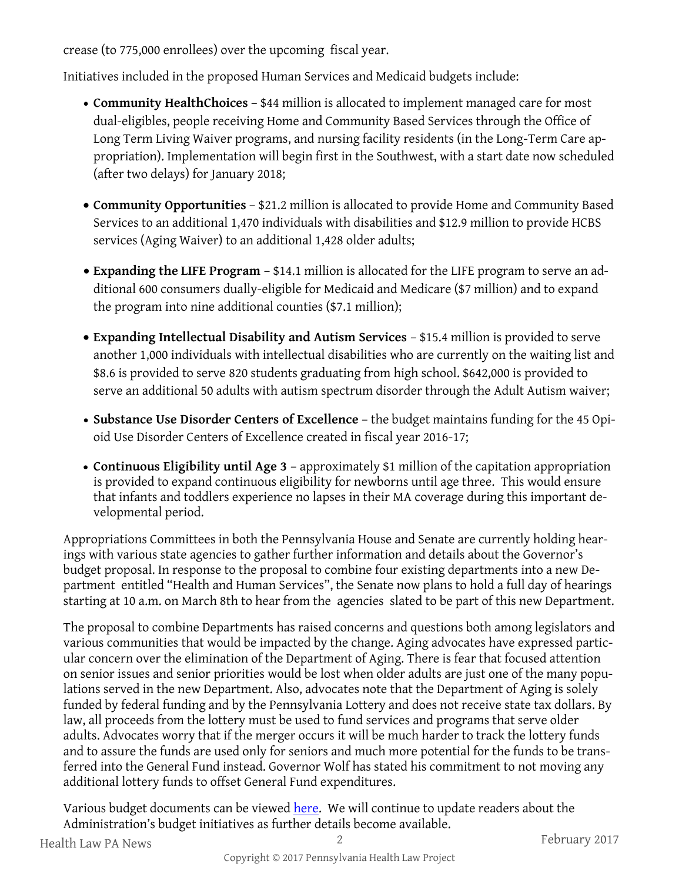crease (to 775,000 enrollees) over the upcoming fiscal year.

Initiatives included in the proposed Human Services and Medicaid budgets include:

- **Community HealthChoices** \$44 million is allocated to implement managed care for most dual-eligibles, people receiving Home and Community Based Services through the Office of Long Term Living Waiver programs, and nursing facility residents (in the Long-Term Care appropriation). Implementation will begin first in the Southwest, with a start date now scheduled (after two delays) for January 2018;
- **Community Opportunities** \$21.2 million is allocated to provide Home and Community Based Services to an additional 1,470 individuals with disabilities and \$12.9 million to provide HCBS services (Aging Waiver) to an additional 1,428 older adults;
- **Expanding the LIFE Program**  \$14.1 million is allocated for the LIFE program to serve an additional 600 consumers dually-eligible for Medicaid and Medicare (\$7 million) and to expand the program into nine additional counties (\$7.1 million);
- **Expanding Intellectual Disability and Autism Services**  \$15.4 million is provided to serve another 1,000 individuals with intellectual disabilities who are currently on the waiting list and \$8.6 is provided to serve 820 students graduating from high school. \$642,000 is provided to serve an additional 50 adults with autism spectrum disorder through the Adult Autism waiver;
- **Substance Use Disorder Centers of Excellence** the budget maintains funding for the 45 Opioid Use Disorder Centers of Excellence created in fiscal year 2016-17;
- **Continuous Eligibility until Age 3**  approximately \$1 million of the capitation appropriation is provided to expand continuous eligibility for newborns until age three. This would ensure that infants and toddlers experience no lapses in their MA coverage during this important developmental period.

Appropriations Committees in both the Pennsylvania House and Senate are currently holding hearings with various state agencies to gather further information and details about the Governor's budget proposal. In response to the proposal to combine four existing departments into a new Department entitled "Health and Human Services", the Senate now plans to hold a full day of hearings starting at 10 a.m. on March 8th to hear from the agencies slated to be part of this new Department.

The proposal to combine Departments has raised concerns and questions both among legislators and various communities that would be impacted by the change. Aging advocates have expressed particular concern over the elimination of the Department of Aging. There is fear that focused attention on senior issues and senior priorities would be lost when older adults are just one of the many populations served in the new Department. Also, advocates note that the Department of Aging is solely funded by federal funding and by the Pennsylvania Lottery and does not receive state tax dollars. By law, all proceeds from the lottery must be used to fund services and programs that serve older adults. Advocates worry that if the merger occurs it will be much harder to track the lottery funds and to assure the funds are used only for seniors and much more potential for the funds to be transferred into the General Fund instead. Governor Wolf has stated his commitment to not moving any additional lottery funds to offset General Fund expenditures.

Various budget documents can be viewed [here.](http://www.budget.pa.gov/Pages/default.aspx) We will continue to update readers about the Administration's budget initiatives as further details become available.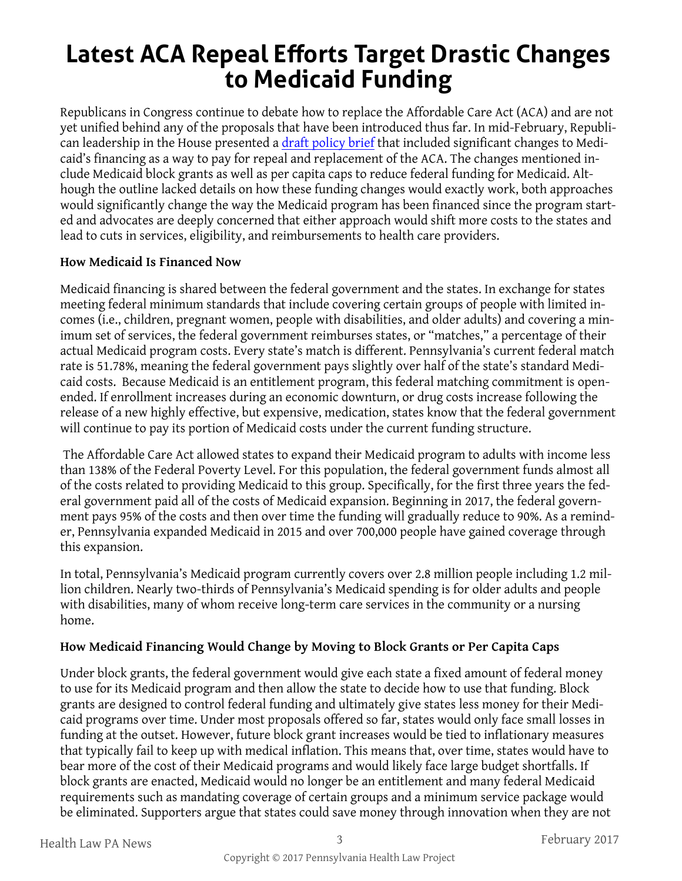# **Latest ACA Repeal Efforts Target Drastic Changes to Medicaid Funding**

Republicans in Congress continue to debate how to replace the Affordable Care Act (ACA) and are not yet unified behind any of the proposals that have been introduced thus far. In mid-February, Republican leadership in the House presented a [draft policy brief](https://gallery.mailchimp.com/aa74e81b676f6a390631dd0c2/files/cceaf0b7-83f9-4f41-b42d-0d85920329af/Healthcare_Policy_Brief.pdf) that included significant changes to Medicaid's financing as a way to pay for repeal and replacement of the ACA. The changes mentioned include Medicaid block grants as well as per capita caps to reduce federal funding for Medicaid. Although the outline lacked details on how these funding changes would exactly work, both approaches would significantly change the way the Medicaid program has been financed since the program started and advocates are deeply concerned that either approach would shift more costs to the states and lead to cuts in services, eligibility, and reimbursements to health care providers.

#### **How Medicaid Is Financed Now**

Medicaid financing is shared between the federal government and the states. In exchange for states meeting federal minimum standards that include covering certain groups of people with limited incomes (i.e., children, pregnant women, people with disabilities, and older adults) and covering a minimum set of services, the federal government reimburses states, or "matches," a percentage of their actual Medicaid program costs. Every state's match is different. Pennsylvania's current federal match rate is 51.78%, meaning the federal government pays slightly over half of the state's standard Medicaid costs. Because Medicaid is an entitlement program, this federal matching commitment is openended. If enrollment increases during an economic downturn, or drug costs increase following the release of a new highly effective, but expensive, medication, states know that the federal government will continue to pay its portion of Medicaid costs under the current funding structure.

The Affordable Care Act allowed states to expand their Medicaid program to adults with income less than 138% of the Federal Poverty Level. For this population, the federal government funds almost all of the costs related to providing Medicaid to this group. Specifically, for the first three years the federal government paid all of the costs of Medicaid expansion. Beginning in 2017, the federal government pays 95% of the costs and then over time the funding will gradually reduce to 90%. As a reminder, Pennsylvania expanded Medicaid in 2015 and over 700,000 people have gained coverage through this expansion.

In total, Pennsylvania's Medicaid program currently covers over 2.8 million people including 1.2 million children. Nearly two-thirds of Pennsylvania's Medicaid spending is for older adults and people with disabilities, many of whom receive long-term care services in the community or a nursing home.

#### **How Medicaid Financing Would Change by Moving to Block Grants or Per Capita Caps**

Under block grants, the federal government would give each state a fixed amount of federal money to use for its Medicaid program and then allow the state to decide how to use that funding. Block grants are designed to control federal funding and ultimately give states less money for their Medicaid programs over time. Under most proposals offered so far, states would only face small losses in funding at the outset. However, future block grant increases would be tied to inflationary measures that typically fail to keep up with medical inflation. This means that, over time, states would have to bear more of the cost of their Medicaid programs and would likely face large budget shortfalls. If block grants are enacted, Medicaid would no longer be an entitlement and many federal Medicaid requirements such as mandating coverage of certain groups and a minimum service package would be eliminated. Supporters argue that states could save money through innovation when they are not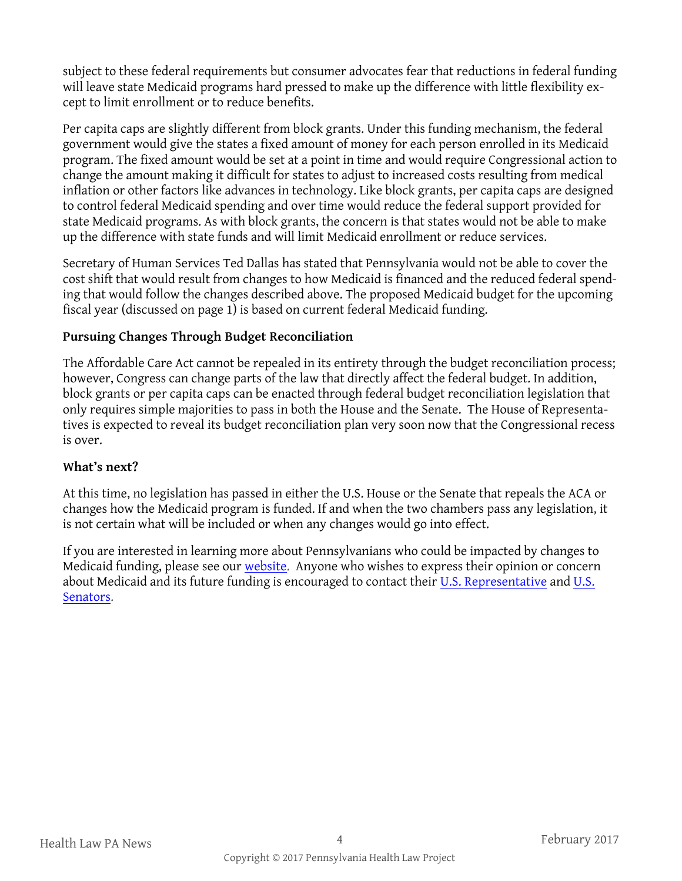subject to these federal requirements but consumer advocates fear that reductions in federal funding will leave state Medicaid programs hard pressed to make up the difference with little flexibility except to limit enrollment or to reduce benefits.

Per capita caps are slightly different from block grants. Under this funding mechanism, the federal government would give the states a fixed amount of money for each person enrolled in its Medicaid program. The fixed amount would be set at a point in time and would require Congressional action to change the amount making it difficult for states to adjust to increased costs resulting from medical inflation or other factors like advances in technology. Like block grants, per capita caps are designed to control federal Medicaid spending and over time would reduce the federal support provided for state Medicaid programs. As with block grants, the concern is that states would not be able to make up the difference with state funds and will limit Medicaid enrollment or reduce services.

Secretary of Human Services Ted Dallas has stated that Pennsylvania would not be able to cover the cost shift that would result from changes to how Medicaid is financed and the reduced federal spending that would follow the changes described above. The proposed Medicaid budget for the upcoming fiscal year (discussed on page 1) is based on current federal Medicaid funding.

#### **Pursuing Changes Through Budget Reconciliation**

The Affordable Care Act cannot be repealed in its entirety through the budget reconciliation process; however, Congress can change parts of the law that directly affect the federal budget. In addition, block grants or per capita caps can be enacted through federal budget reconciliation legislation that only requires simple majorities to pass in both the House and the Senate. The House of Representatives is expected to reveal its budget reconciliation plan very soon now that the Congressional recess is over.

#### **What's next?**

At this time, no legislation has passed in either the U.S. House or the Senate that repeals the ACA or changes how the Medicaid program is funded. If and when the two chambers pass any legislation, it is not certain what will be included or when any changes would go into effect.

If you are interested in learning more about Pennsylvanians who could be impacted by changes to Medicaid funding, please see our [website.](http://www.phlp.org/who-gets-medicaid-in-pennsylvania-2) Anyone who wishes to express their opinion or concern about Medicaid and its future funding is encouraged to contact their [U.S. Representative](http://www.house.gov/representatives/find/) and [U.S.](https://www.senate.gov/)  [Senators.](https://www.senate.gov/)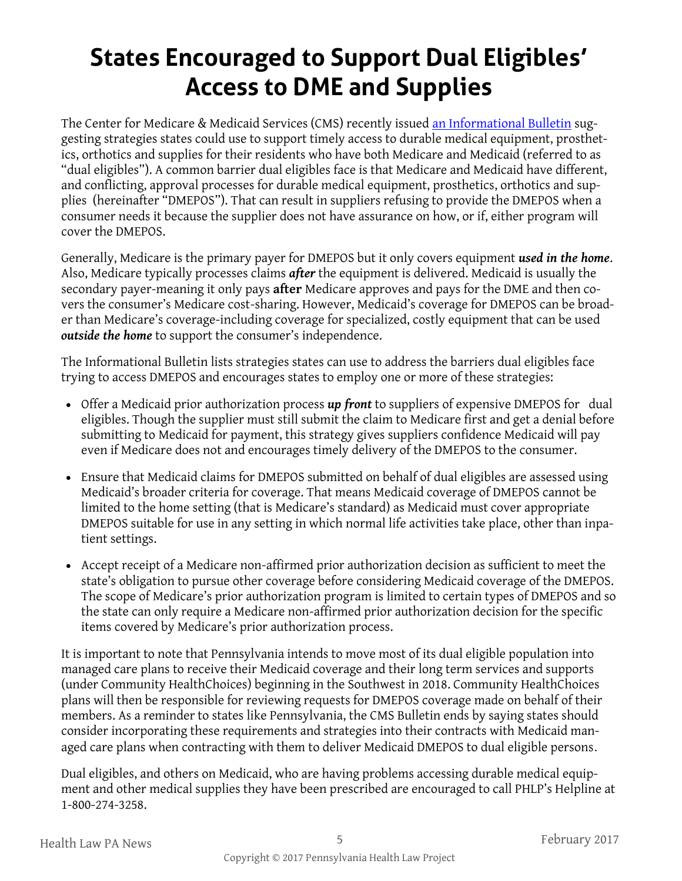# **States Encouraged to Support Dual Eligibles' Access to DME and Supplies**

The Center for Medicare & Medicaid Services (CMS) recently issued [an Informational Bulletin](https://www.medicaid.gov/federal-policy-guidance/downloads/cib011317.pdf) suggesting strategies states could use to support timely access to durable medical equipment, prosthetics, orthotics and supplies for their residents who have both Medicare and Medicaid (referred to as "dual eligibles"). A common barrier dual eligibles face is that Medicare and Medicaid have different, and conflicting, approval processes for durable medical equipment, prosthetics, orthotics and supplies (hereinafter "DMEPOS"). That can result in suppliers refusing to provide the DMEPOS when a consumer needs it because the supplier does not have assurance on how, or if, either program will cover the DMEPOS.

Generally, Medicare is the primary payer for DMEPOS but it only covers equipment *used in the home*. Also, Medicare typically processes claims *after* the equipment is delivered. Medicaid is usually the secondary payer-meaning it only pays **after** Medicare approves and pays for the DME and then covers the consumer's Medicare cost-sharing. However, Medicaid's coverage for DMEPOS can be broader than Medicare's coverage-including coverage for specialized, costly equipment that can be used *outside the home* to support the consumer's independence.

The Informational Bulletin lists strategies states can use to address the barriers dual eligibles face trying to access DMEPOS and encourages states to employ one or more of these strategies:

- Offer a Medicaid prior authorization process *up front* to suppliers of expensive DMEPOS for dual eligibles. Though the supplier must still submit the claim to Medicare first and get a denial before submitting to Medicaid for payment, this strategy gives suppliers confidence Medicaid will pay even if Medicare does not and encourages timely delivery of the DMEPOS to the consumer.
- Ensure that Medicaid claims for DMEPOS submitted on behalf of dual eligibles are assessed using Medicaid's broader criteria for coverage. That means Medicaid coverage of DMEPOS cannot be limited to the home setting (that is Medicare's standard) as Medicaid must cover appropriate DMEPOS suitable for use in any setting in which normal life activities take place, other than inpatient settings.
- Accept receipt of a Medicare non-affirmed prior authorization decision as sufficient to meet the state's obligation to pursue other coverage before considering Medicaid coverage of the DMEPOS. The scope of Medicare's prior authorization program is limited to certain types of DMEPOS and so the state can only require a Medicare non-affirmed prior authorization decision for the specific items covered by Medicare's prior authorization process.

It is important to note that Pennsylvania intends to move most of its dual eligible population into managed care plans to receive their Medicaid coverage and their long term services and supports (under Community HealthChoices) beginning in the Southwest in 2018. Community HealthChoices plans will then be responsible for reviewing requests for DMEPOS coverage made on behalf of their members. As a reminder to states like Pennsylvania, the CMS Bulletin ends by saying states should consider incorporating these requirements and strategies into their contracts with Medicaid managed care plans when contracting with them to deliver Medicaid DMEPOS to dual eligible persons.

Dual eligibles, and others on Medicaid, who are having problems accessing durable medical equipment and other medical supplies they have been prescribed are encouraged to call PHLP's Helpline at 1-800-274-3258.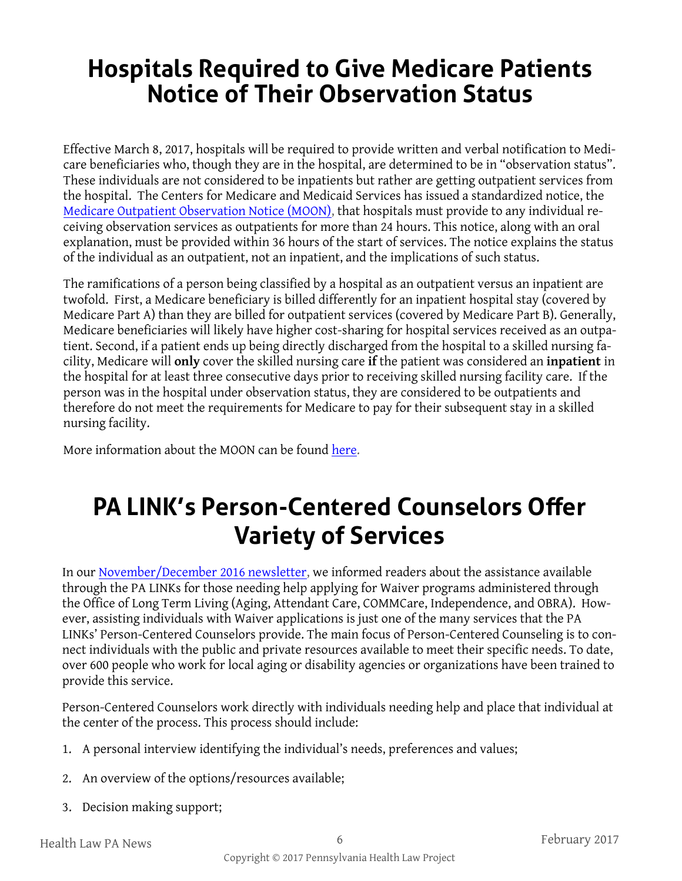# **Hospitals Required to Give Medicare Patients Notice of Their Observation Status**

Effective March 8, 2017, hospitals will be required to provide written and verbal notification to Medicare beneficiaries who, though they are in the hospital, are determined to be in "observation status". These individuals are not considered to be inpatients but rather are getting outpatient services from the hospital. The Centers for Medicare and Medicaid Services has issued a standardized notice, the [Medicare Outpatient Observation Notice \(MOON\),](https://www.cms.gov/Medicare/Medicare-General-Information/BNI/index.html?redirect=/BNI/) that hospitals must provide to any individual receiving observation services as outpatients for more than 24 hours. This notice, along with an oral explanation, must be provided within 36 hours of the start of services. The notice explains the status of the individual as an outpatient, not an inpatient, and the implications of such status.

The ramifications of a person being classified by a hospital as an outpatient versus an inpatient are twofold. First, a Medicare beneficiary is billed differently for an inpatient hospital stay (covered by Medicare Part A) than they are billed for outpatient services (covered by Medicare Part B). Generally, Medicare beneficiaries will likely have higher cost-sharing for hospital services received as an outpatient. Second, if a patient ends up being directly discharged from the hospital to a skilled nursing facility, Medicare will **only** cover the skilled nursing care **if** the patient was considered an **inpatient** in the hospital for at least three consecutive days prior to receiving skilled nursing facility care. If the person was in the hospital under observation status, they are considered to be outpatients and therefore do not meet the requirements for Medicare to pay for their subsequent stay in a skilled nursing facility.

More information about the MOON can be found [here.](https://www.cms.gov/Outreach-and-Education/Medicare-Learning-Network-MLN/MLNMattersArticles/Downloads/MM9935.pdf)

# **PA LINK's Person-Centered Counselors Offer Variety of Services**

In our [November/December 2016 newsletter,](http://www.phlp.org/wp-content/uploads/2016/12/November-2016-HLN-final-1.pdf) we informed readers about the assistance available through the PA LINKs for those needing help applying for Waiver programs administered through the Office of Long Term Living (Aging, Attendant Care, COMMCare, Independence, and OBRA). However, assisting individuals with Waiver applications is just one of the many services that the PA LINKs' Person-Centered Counselors provide. The main focus of Person-Centered Counseling is to connect individuals with the public and private resources available to meet their specific needs. To date, over 600 people who work for local aging or disability agencies or organizations have been trained to provide this service.

Person-Centered Counselors work directly with individuals needing help and place that individual at the center of the process. This process should include:

- 1. A personal interview identifying the individual's needs, preferences and values;
- 2. An overview of the options/resources available;
- 3. Decision making support;